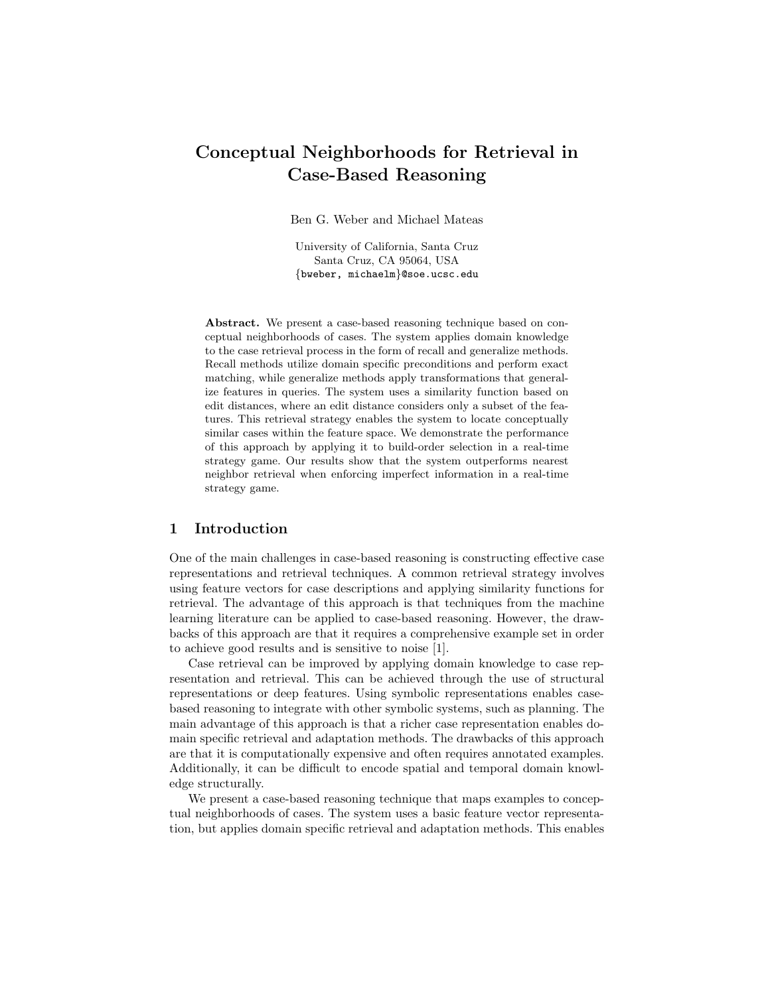# Conceptual Neighborhoods for Retrieval in Case-Based Reasoning

Ben G. Weber and Michael Mateas

University of California, Santa Cruz Santa Cruz, CA 95064, USA {bweber, michaelm}@soe.ucsc.edu

Abstract. We present a case-based reasoning technique based on conceptual neighborhoods of cases. The system applies domain knowledge to the case retrieval process in the form of recall and generalize methods. Recall methods utilize domain specific preconditions and perform exact matching, while generalize methods apply transformations that generalize features in queries. The system uses a similarity function based on edit distances, where an edit distance considers only a subset of the features. This retrieval strategy enables the system to locate conceptually similar cases within the feature space. We demonstrate the performance of this approach by applying it to build-order selection in a real-time strategy game. Our results show that the system outperforms nearest neighbor retrieval when enforcing imperfect information in a real-time strategy game.

### 1 Introduction

One of the main challenges in case-based reasoning is constructing effective case representations and retrieval techniques. A common retrieval strategy involves using feature vectors for case descriptions and applying similarity functions for retrieval. The advantage of this approach is that techniques from the machine learning literature can be applied to case-based reasoning. However, the drawbacks of this approach are that it requires a comprehensive example set in order to achieve good results and is sensitive to noise [1].

Case retrieval can be improved by applying domain knowledge to case representation and retrieval. This can be achieved through the use of structural representations or deep features. Using symbolic representations enables casebased reasoning to integrate with other symbolic systems, such as planning. The main advantage of this approach is that a richer case representation enables domain specific retrieval and adaptation methods. The drawbacks of this approach are that it is computationally expensive and often requires annotated examples. Additionally, it can be difficult to encode spatial and temporal domain knowledge structurally.

We present a case-based reasoning technique that maps examples to conceptual neighborhoods of cases. The system uses a basic feature vector representation, but applies domain specific retrieval and adaptation methods. This enables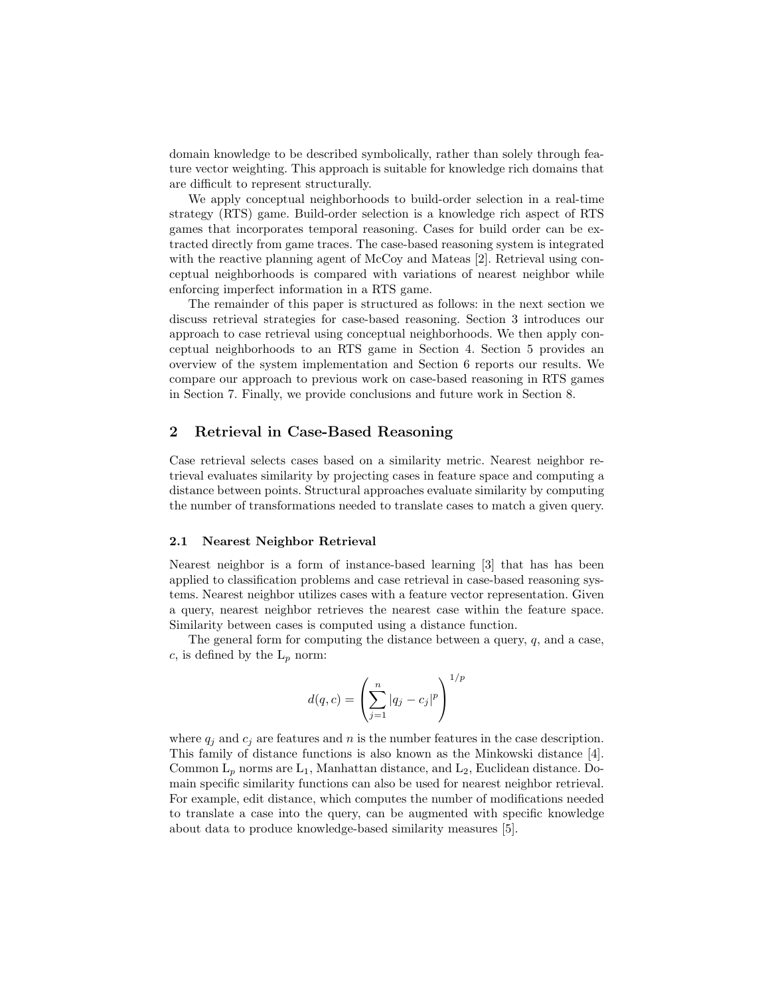domain knowledge to be described symbolically, rather than solely through feature vector weighting. This approach is suitable for knowledge rich domains that are difficult to represent structurally.

We apply conceptual neighborhoods to build-order selection in a real-time strategy (RTS) game. Build-order selection is a knowledge rich aspect of RTS games that incorporates temporal reasoning. Cases for build order can be extracted directly from game traces. The case-based reasoning system is integrated with the reactive planning agent of McCoy and Mateas [2]. Retrieval using conceptual neighborhoods is compared with variations of nearest neighbor while enforcing imperfect information in a RTS game.

The remainder of this paper is structured as follows: in the next section we discuss retrieval strategies for case-based reasoning. Section 3 introduces our approach to case retrieval using conceptual neighborhoods. We then apply conceptual neighborhoods to an RTS game in Section 4. Section 5 provides an overview of the system implementation and Section 6 reports our results. We compare our approach to previous work on case-based reasoning in RTS games in Section 7. Finally, we provide conclusions and future work in Section 8.

# 2 Retrieval in Case-Based Reasoning

Case retrieval selects cases based on a similarity metric. Nearest neighbor retrieval evaluates similarity by projecting cases in feature space and computing a distance between points. Structural approaches evaluate similarity by computing the number of transformations needed to translate cases to match a given query.

#### 2.1 Nearest Neighbor Retrieval

Nearest neighbor is a form of instance-based learning [3] that has has been applied to classification problems and case retrieval in case-based reasoning systems. Nearest neighbor utilizes cases with a feature vector representation. Given a query, nearest neighbor retrieves the nearest case within the feature space. Similarity between cases is computed using a distance function.

The general form for computing the distance between a query,  $q$ , and a case, c, is defined by the  $L_p$  norm:

$$
d(q, c) = \left(\sum_{j=1}^{n} |q_j - c_j|^p\right)^{1/p}
$$

where  $q_i$  and  $c_j$  are features and n is the number features in the case description. This family of distance functions is also known as the Minkowski distance [4]. Common  $L_p$  norms are  $L_1$ , Manhattan distance, and  $L_2$ , Euclidean distance. Domain specific similarity functions can also be used for nearest neighbor retrieval. For example, edit distance, which computes the number of modifications needed to translate a case into the query, can be augmented with specific knowledge about data to produce knowledge-based similarity measures [5].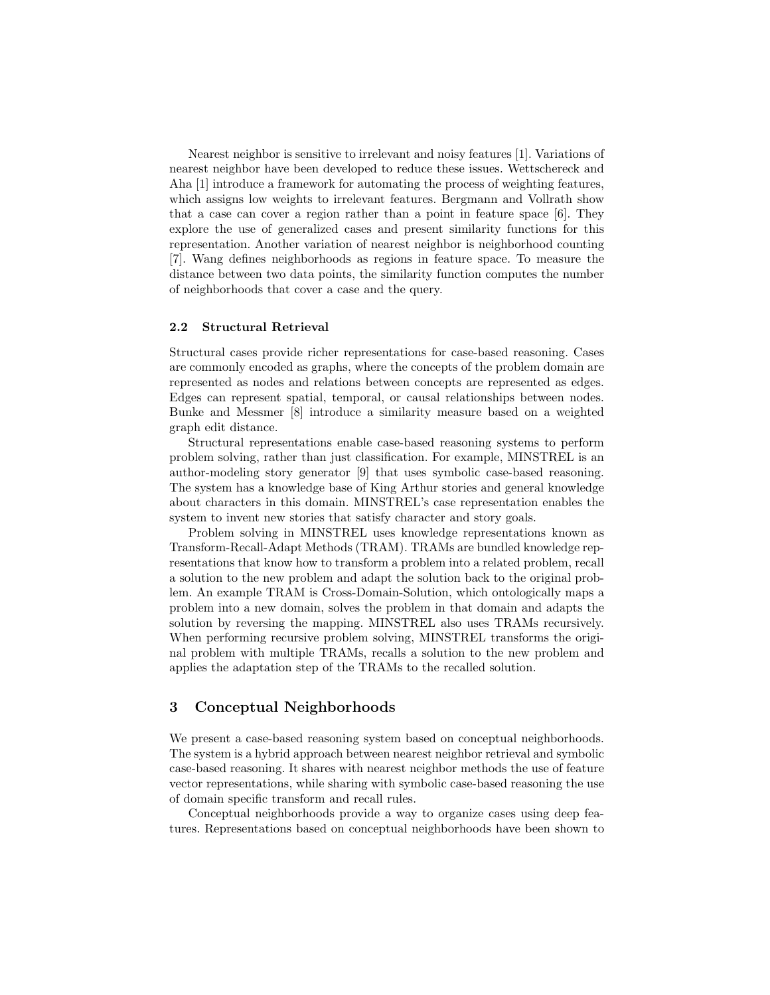Nearest neighbor is sensitive to irrelevant and noisy features [1]. Variations of nearest neighbor have been developed to reduce these issues. Wettschereck and Aha [1] introduce a framework for automating the process of weighting features, which assigns low weights to irrelevant features. Bergmann and Vollrath show that a case can cover a region rather than a point in feature space [6]. They explore the use of generalized cases and present similarity functions for this representation. Another variation of nearest neighbor is neighborhood counting [7]. Wang defines neighborhoods as regions in feature space. To measure the distance between two data points, the similarity function computes the number of neighborhoods that cover a case and the query.

### 2.2 Structural Retrieval

Structural cases provide richer representations for case-based reasoning. Cases are commonly encoded as graphs, where the concepts of the problem domain are represented as nodes and relations between concepts are represented as edges. Edges can represent spatial, temporal, or causal relationships between nodes. Bunke and Messmer [8] introduce a similarity measure based on a weighted graph edit distance.

Structural representations enable case-based reasoning systems to perform problem solving, rather than just classification. For example, MINSTREL is an author-modeling story generator [9] that uses symbolic case-based reasoning. The system has a knowledge base of King Arthur stories and general knowledge about characters in this domain. MINSTREL's case representation enables the system to invent new stories that satisfy character and story goals.

Problem solving in MINSTREL uses knowledge representations known as Transform-Recall-Adapt Methods (TRAM). TRAMs are bundled knowledge representations that know how to transform a problem into a related problem, recall a solution to the new problem and adapt the solution back to the original problem. An example TRAM is Cross-Domain-Solution, which ontologically maps a problem into a new domain, solves the problem in that domain and adapts the solution by reversing the mapping. MINSTREL also uses TRAMs recursively. When performing recursive problem solving, MINSTREL transforms the original problem with multiple TRAMs, recalls a solution to the new problem and applies the adaptation step of the TRAMs to the recalled solution.

# 3 Conceptual Neighborhoods

We present a case-based reasoning system based on conceptual neighborhoods. The system is a hybrid approach between nearest neighbor retrieval and symbolic case-based reasoning. It shares with nearest neighbor methods the use of feature vector representations, while sharing with symbolic case-based reasoning the use of domain specific transform and recall rules.

Conceptual neighborhoods provide a way to organize cases using deep features. Representations based on conceptual neighborhoods have been shown to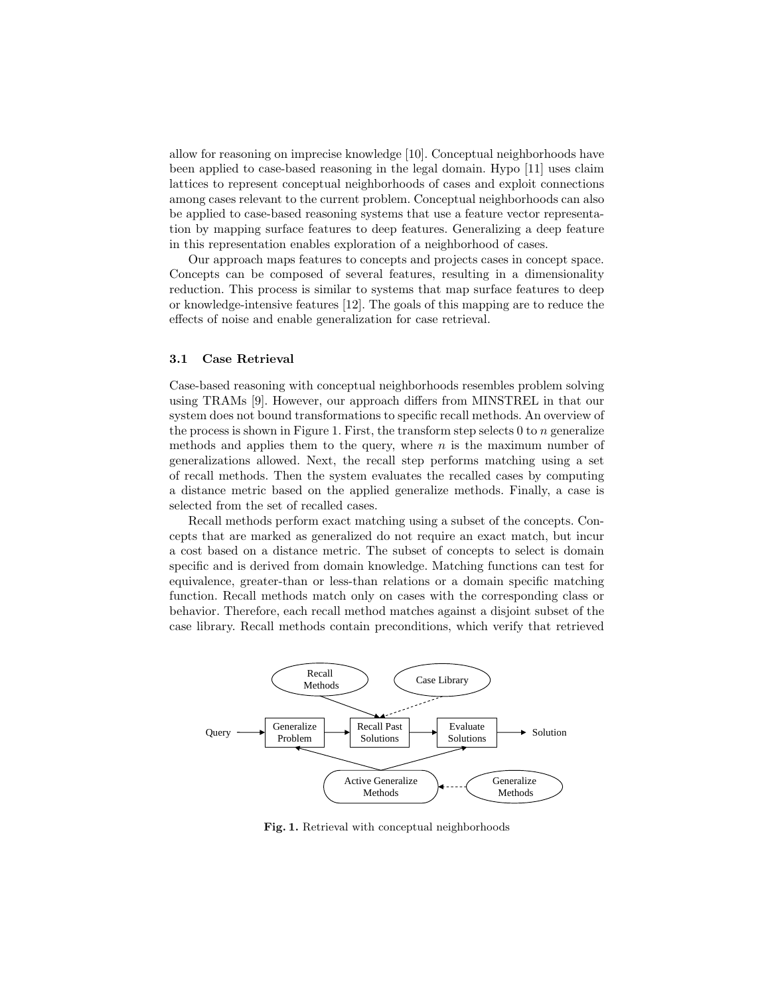allow for reasoning on imprecise knowledge [10]. Conceptual neighborhoods have been applied to case-based reasoning in the legal domain. Hypo [11] uses claim lattices to represent conceptual neighborhoods of cases and exploit connections among cases relevant to the current problem. Conceptual neighborhoods can also be applied to case-based reasoning systems that use a feature vector representation by mapping surface features to deep features. Generalizing a deep feature in this representation enables exploration of a neighborhood of cases.

Our approach maps features to concepts and projects cases in concept space. Concepts can be composed of several features, resulting in a dimensionality reduction. This process is similar to systems that map surface features to deep or knowledge-intensive features [12]. The goals of this mapping are to reduce the effects of noise and enable generalization for case retrieval.

### 3.1 Case Retrieval

Case-based reasoning with conceptual neighborhoods resembles problem solving using TRAMs [9]. However, our approach differs from MINSTREL in that our system does not bound transformations to specific recall methods. An overview of the process is shown in Figure 1. First, the transform step selects 0 to  $n$  generalize methods and applies them to the query, where  $n$  is the maximum number of generalizations allowed. Next, the recall step performs matching using a set of recall methods. Then the system evaluates the recalled cases by computing a distance metric based on the applied generalize methods. Finally, a case is selected from the set of recalled cases.

Recall methods perform exact matching using a subset of the concepts. Concepts that are marked as generalized do not require an exact match, but incur a cost based on a distance metric. The subset of concepts to select is domain specific and is derived from domain knowledge. Matching functions can test for equivalence, greater-than or less-than relations or a domain specific matching function. Recall methods match only on cases with the corresponding class or behavior. Therefore, each recall method matches against a disjoint subset of the case library. Recall methods contain preconditions, which verify that retrieved



Fig. 1. Retrieval with conceptual neighborhoods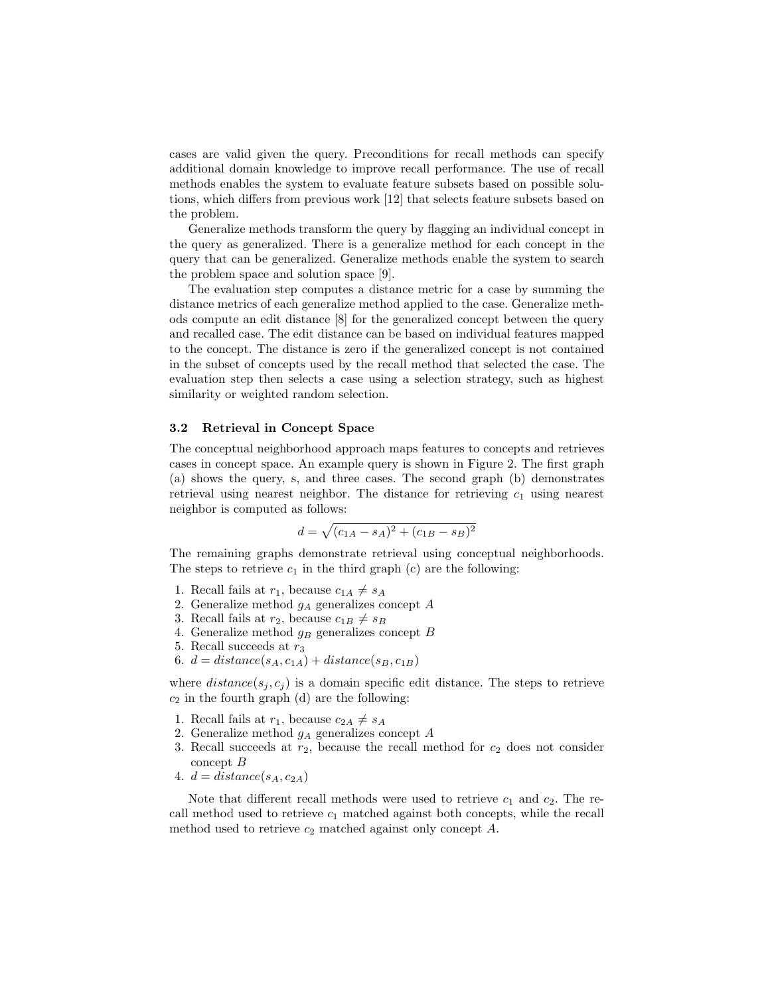cases are valid given the query. Preconditions for recall methods can specify additional domain knowledge to improve recall performance. The use of recall methods enables the system to evaluate feature subsets based on possible solutions, which differs from previous work [12] that selects feature subsets based on the problem.

Generalize methods transform the query by flagging an individual concept in the query as generalized. There is a generalize method for each concept in the query that can be generalized. Generalize methods enable the system to search the problem space and solution space [9].

The evaluation step computes a distance metric for a case by summing the distance metrics of each generalize method applied to the case. Generalize methods compute an edit distance [8] for the generalized concept between the query and recalled case. The edit distance can be based on individual features mapped to the concept. The distance is zero if the generalized concept is not contained in the subset of concepts used by the recall method that selected the case. The evaluation step then selects a case using a selection strategy, such as highest similarity or weighted random selection.

#### 3.2 Retrieval in Concept Space

The conceptual neighborhood approach maps features to concepts and retrieves cases in concept space. An example query is shown in Figure 2. The first graph (a) shows the query, s, and three cases. The second graph (b) demonstrates retrieval using nearest neighbor. The distance for retrieving  $c_1$  using nearest neighbor is computed as follows:

$$
d = \sqrt{(c_{1A} - s_A)^2 + (c_{1B} - s_B)^2}
$$

The remaining graphs demonstrate retrieval using conceptual neighborhoods. The steps to retrieve  $c_1$  in the third graph (c) are the following:

- 1. Recall fails at  $r_1$ , because  $c_{1A} \neq s_A$
- 2. Generalize method  $g_A$  generalizes concept  $A$
- 3. Recall fails at  $r_2$ , because  $c_{1B} \neq s_B$
- 4. Generalize method  $g_B$  generalizes concept B
- 5. Recall succeeds at  $r_3$
- 6.  $d = distance(s_A, c_{1A}) + distance(s_B, c_{1B})$

where  $distance(s_j, c_j)$  is a domain specific edit distance. The steps to retrieve  $c_2$  in the fourth graph (d) are the following:

- 1. Recall fails at  $r_1$ , because  $c_{2A} \neq s_A$
- 2. Generalize method  $g_A$  generalizes concept A
- 3. Recall succeeds at  $r_2$ , because the recall method for  $c_2$  does not consider concept B
- 4.  $d = distance(s_A, c_{2A})$

Note that different recall methods were used to retrieve  $c_1$  and  $c_2$ . The recall method used to retrieve  $c_1$  matched against both concepts, while the recall method used to retrieve  $c_2$  matched against only concept  $A$ .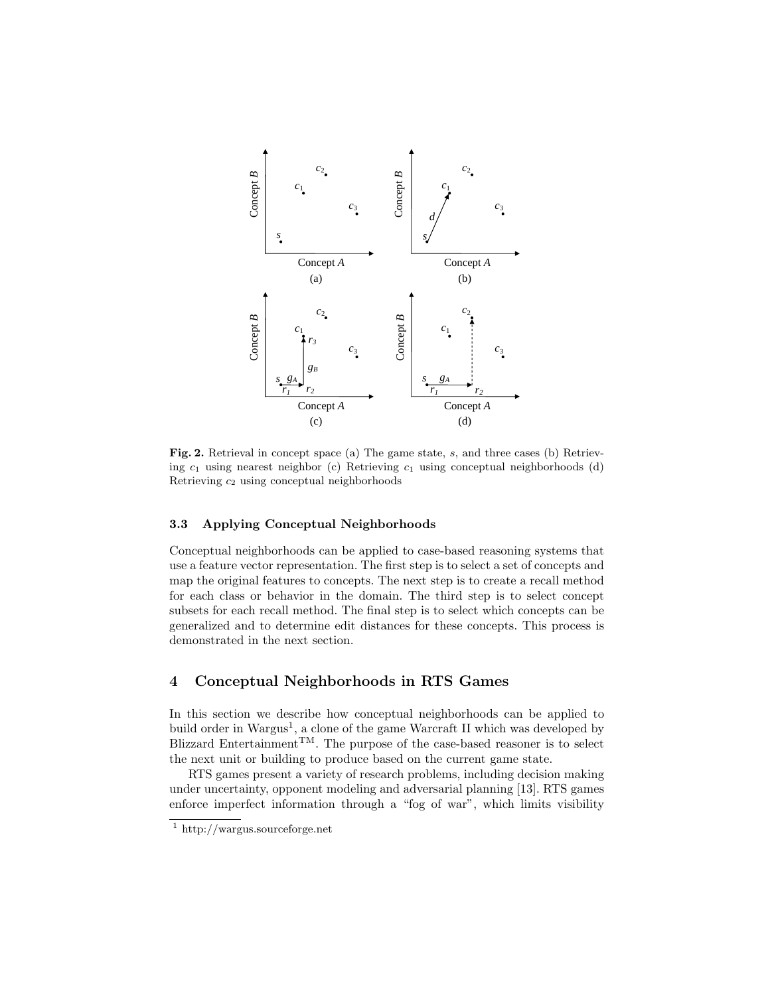

Fig. 2. Retrieval in concept space (a) The game state, s, and three cases (b) Retrieving  $c_1$  using nearest neighbor (c) Retrieving  $c_1$  using conceptual neighborhoods (d) Retrieving  $c_2$  using conceptual neighborhoods

### 3.3 Applying Conceptual Neighborhoods

Conceptual neighborhoods can be applied to case-based reasoning systems that use a feature vector representation. The first step is to select a set of concepts and map the original features to concepts. The next step is to create a recall method for each class or behavior in the domain. The third step is to select concept subsets for each recall method. The final step is to select which concepts can be generalized and to determine edit distances for these concepts. This process is demonstrated in the next section.

# 4 Conceptual Neighborhoods in RTS Games

In this section we describe how conceptual neighborhoods can be applied to build order in Wargus<sup>1</sup>, a clone of the game Warcraft II which was developed by Blizzard Entertainment<sup>TM</sup>. The purpose of the case-based reasoner is to select the next unit or building to produce based on the current game state.

RTS games present a variety of research problems, including decision making under uncertainty, opponent modeling and adversarial planning [13]. RTS games enforce imperfect information through a "fog of war", which limits visibility

<sup>1</sup> http://wargus.sourceforge.net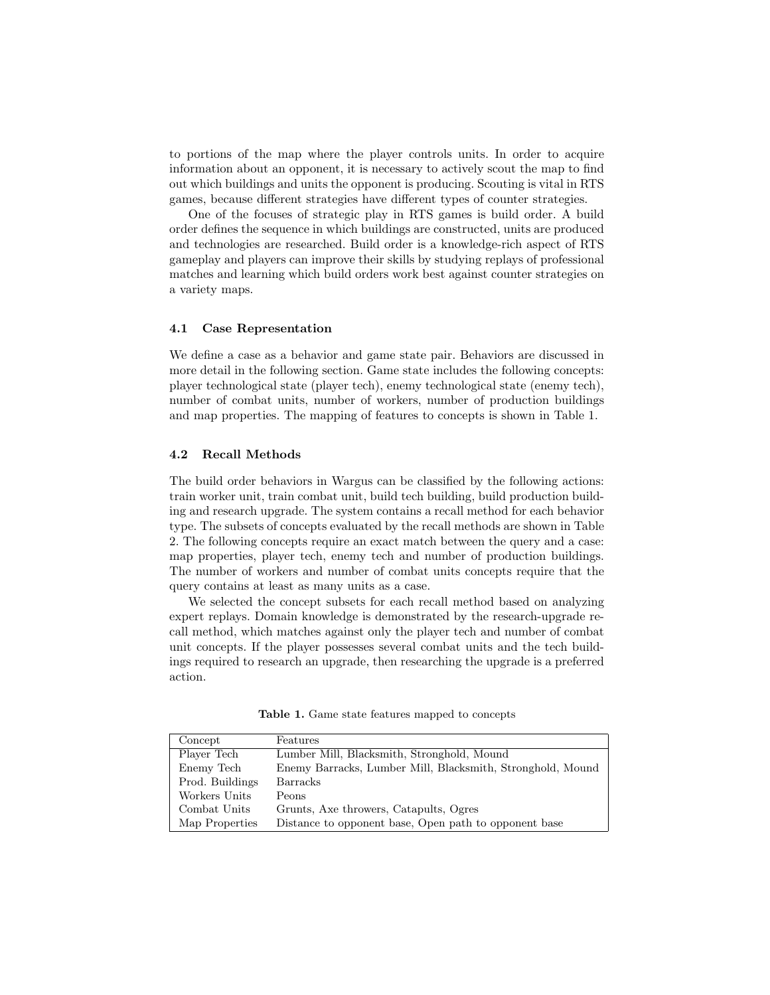to portions of the map where the player controls units. In order to acquire information about an opponent, it is necessary to actively scout the map to find out which buildings and units the opponent is producing. Scouting is vital in RTS games, because different strategies have different types of counter strategies.

One of the focuses of strategic play in RTS games is build order. A build order defines the sequence in which buildings are constructed, units are produced and technologies are researched. Build order is a knowledge-rich aspect of RTS gameplay and players can improve their skills by studying replays of professional matches and learning which build orders work best against counter strategies on a variety maps.

### 4.1 Case Representation

We define a case as a behavior and game state pair. Behaviors are discussed in more detail in the following section. Game state includes the following concepts: player technological state (player tech), enemy technological state (enemy tech), number of combat units, number of workers, number of production buildings and map properties. The mapping of features to concepts is shown in Table 1.

### 4.2 Recall Methods

The build order behaviors in Wargus can be classified by the following actions: train worker unit, train combat unit, build tech building, build production building and research upgrade. The system contains a recall method for each behavior type. The subsets of concepts evaluated by the recall methods are shown in Table 2. The following concepts require an exact match between the query and a case: map properties, player tech, enemy tech and number of production buildings. The number of workers and number of combat units concepts require that the query contains at least as many units as a case.

We selected the concept subsets for each recall method based on analyzing expert replays. Domain knowledge is demonstrated by the research-upgrade recall method, which matches against only the player tech and number of combat unit concepts. If the player possesses several combat units and the tech buildings required to research an upgrade, then researching the upgrade is a preferred action.

|  |  | Table 1. Game state features mapped to concepts |  |  |  |
|--|--|-------------------------------------------------|--|--|--|
|--|--|-------------------------------------------------|--|--|--|

| Concept         | Features                                                   |
|-----------------|------------------------------------------------------------|
| Player Tech     | Lumber Mill, Blacksmith, Stronghold, Mound                 |
| Enemy Tech      | Enemy Barracks, Lumber Mill, Blacksmith, Stronghold, Mound |
| Prod. Buildings | <b>Barracks</b>                                            |
| Workers Units   | Peons                                                      |
| Combat Units    | Grunts, Axe throwers, Catapults, Ogres                     |
| Map Properties  | Distance to opponent base, Open path to opponent base      |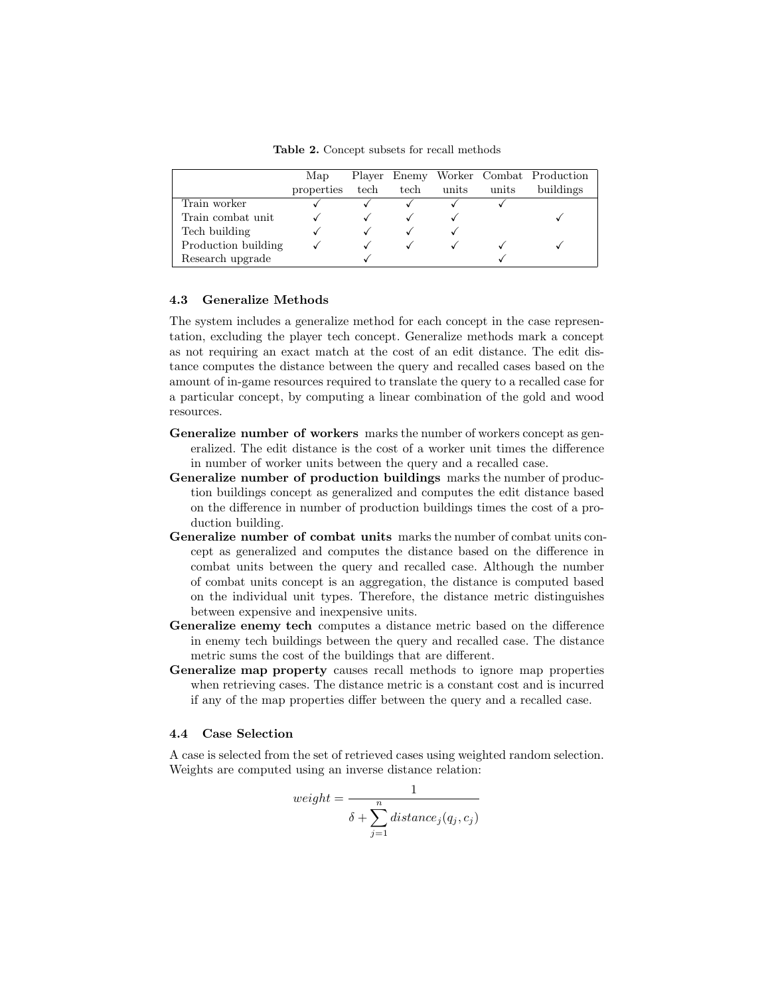|                     | Map        |      |      |       |       | Player Enemy Worker Combat Production |
|---------------------|------------|------|------|-------|-------|---------------------------------------|
|                     | properties | tech | tech | units | units | buildings                             |
| Train worker        |            |      |      |       |       |                                       |
| Train combat unit   |            |      |      |       |       |                                       |
| Tech building       |            |      |      |       |       |                                       |
| Production building |            |      |      |       |       |                                       |
| Research upgrade    |            |      |      |       |       |                                       |

Table 2. Concept subsets for recall methods

#### 4.3 Generalize Methods

The system includes a generalize method for each concept in the case representation, excluding the player tech concept. Generalize methods mark a concept as not requiring an exact match at the cost of an edit distance. The edit distance computes the distance between the query and recalled cases based on the amount of in-game resources required to translate the query to a recalled case for a particular concept, by computing a linear combination of the gold and wood resources.

- Generalize number of workers marks the number of workers concept as generalized. The edit distance is the cost of a worker unit times the difference in number of worker units between the query and a recalled case.
- Generalize number of production buildings marks the number of production buildings concept as generalized and computes the edit distance based on the difference in number of production buildings times the cost of a production building.
- Generalize number of combat units marks the number of combat units concept as generalized and computes the distance based on the difference in combat units between the query and recalled case. Although the number of combat units concept is an aggregation, the distance is computed based on the individual unit types. Therefore, the distance metric distinguishes between expensive and inexpensive units.
- Generalize enemy tech computes a distance metric based on the difference in enemy tech buildings between the query and recalled case. The distance metric sums the cost of the buildings that are different.
- Generalize map property causes recall methods to ignore map properties when retrieving cases. The distance metric is a constant cost and is incurred if any of the map properties differ between the query and a recalled case.

### 4.4 Case Selection

A case is selected from the set of retrieved cases using weighted random selection. Weights are computed using an inverse distance relation:

$$
weight = \frac{1}{\delta + \sum_{j=1}^{n} distance_j(q_j, c_j)}
$$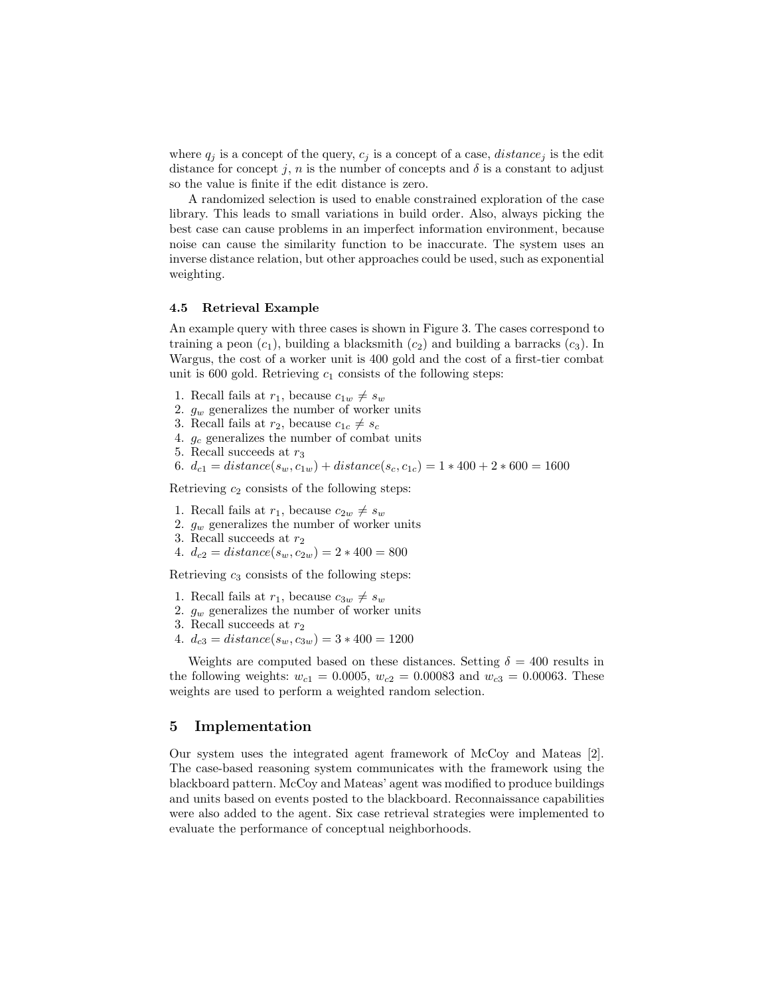where  $q_i$  is a concept of the query,  $c_i$  is a concept of a case, distance, is the edit distance for concept j, n is the number of concepts and  $\delta$  is a constant to adjust so the value is finite if the edit distance is zero.

A randomized selection is used to enable constrained exploration of the case library. This leads to small variations in build order. Also, always picking the best case can cause problems in an imperfect information environment, because noise can cause the similarity function to be inaccurate. The system uses an inverse distance relation, but other approaches could be used, such as exponential weighting.

#### 4.5 Retrieval Example

An example query with three cases is shown in Figure 3. The cases correspond to training a peon  $(c_1)$ , building a blacksmith  $(c_2)$  and building a barracks  $(c_3)$ . In Wargus, the cost of a worker unit is 400 gold and the cost of a first-tier combat unit is 600 gold. Retrieving  $c_1$  consists of the following steps:

- 1. Recall fails at  $r_1$ , because  $c_{1w} \neq s_w$
- 2.  $g_w$  generalizes the number of worker units
- 3. Recall fails at  $r_2$ , because  $c_{1c} \neq s_c$
- 4.  $g_c$  generalizes the number of combat units
- 5. Recall succeeds at  $r_3$

6.  $d_{c1} = distance(s_w, c_{1w}) + distance(s_c, c_{1c}) = 1 * 400 + 2 * 600 = 1600$ 

Retrieving  $c_2$  consists of the following steps:

- 1. Recall fails at  $r_1$ , because  $c_{2w} \neq s_w$
- 2.  $g_w$  generalizes the number of worker units
- 3. Recall succeeds at  $r_2$
- 4.  $d_{c2} = distance(s_w, c_{2w}) = 2 * 400 = 800$

Retrieving  $c_3$  consists of the following steps:

- 1. Recall fails at  $r_1$ , because  $c_{3w} \neq s_w$
- 2.  $g_w$  generalizes the number of worker units
- 3. Recall succeeds at  $r_2$
- 4.  $d_{c3} = distance(s_w, c_{3w}) = 3 * 400 = 1200$

Weights are computed based on these distances. Setting  $\delta = 400$  results in the following weights:  $w_{c1} = 0.0005$ ,  $w_{c2} = 0.00083$  and  $w_{c3} = 0.00063$ . These weights are used to perform a weighted random selection.

# 5 Implementation

Our system uses the integrated agent framework of McCoy and Mateas [2]. The case-based reasoning system communicates with the framework using the blackboard pattern. McCoy and Mateas' agent was modified to produce buildings and units based on events posted to the blackboard. Reconnaissance capabilities were also added to the agent. Six case retrieval strategies were implemented to evaluate the performance of conceptual neighborhoods.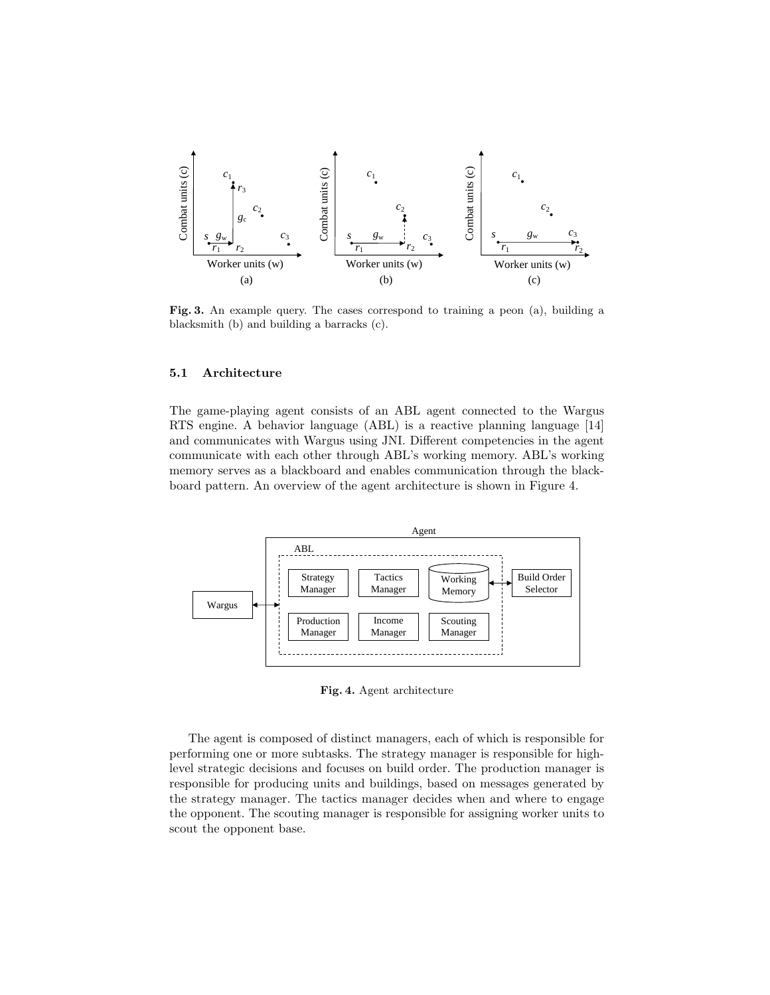

Fig. 3. An example query. The cases correspond to training a peon (a), building a blacksmith (b) and building a barracks (c).

# 5.1 Architecture

The game-playing agent consists of an ABL agent connected to the Wargus RTS engine. A behavior language (ABL) is a reactive planning language [14] and communicates with Wargus using JNI. Different competencies in the agent communicate with each other through ABL's working memory. ABL's working memory serves as a blackboard and enables communication through the blackboard pattern. An overview of the agent architecture is shown in Figure 4.



Fig. 4. Agent architecture

The agent is composed of distinct managers, each of which is responsible for performing one or more subtasks. The strategy manager is responsible for highlevel strategic decisions and focuses on build order. The production manager is responsible for producing units and buildings, based on messages generated by the strategy manager. The tactics manager decides when and where to engage the opponent. The scouting manager is responsible for assigning worker units to scout the opponent base.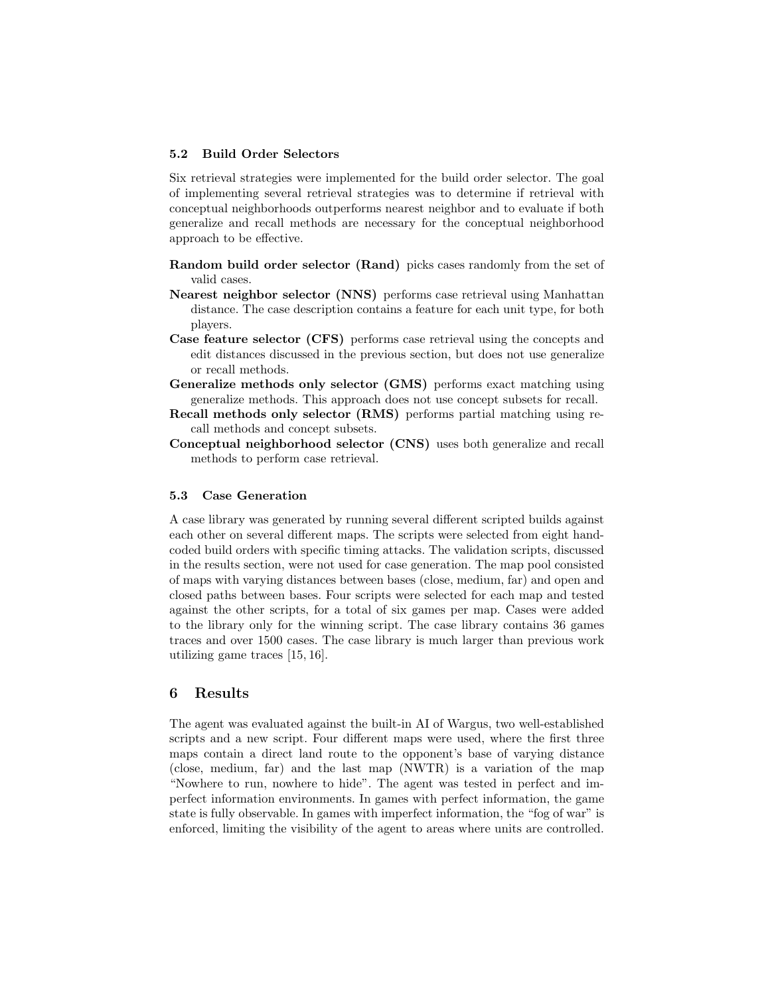### 5.2 Build Order Selectors

Six retrieval strategies were implemented for the build order selector. The goal of implementing several retrieval strategies was to determine if retrieval with conceptual neighborhoods outperforms nearest neighbor and to evaluate if both generalize and recall methods are necessary for the conceptual neighborhood approach to be effective.

- Random build order selector (Rand) picks cases randomly from the set of valid cases.
- Nearest neighbor selector (NNS) performs case retrieval using Manhattan distance. The case description contains a feature for each unit type, for both players.
- Case feature selector (CFS) performs case retrieval using the concepts and edit distances discussed in the previous section, but does not use generalize or recall methods.
- Generalize methods only selector (GMS) performs exact matching using generalize methods. This approach does not use concept subsets for recall.
- Recall methods only selector (RMS) performs partial matching using recall methods and concept subsets.
- Conceptual neighborhood selector (CNS) uses both generalize and recall methods to perform case retrieval.

### 5.3 Case Generation

A case library was generated by running several different scripted builds against each other on several different maps. The scripts were selected from eight handcoded build orders with specific timing attacks. The validation scripts, discussed in the results section, were not used for case generation. The map pool consisted of maps with varying distances between bases (close, medium, far) and open and closed paths between bases. Four scripts were selected for each map and tested against the other scripts, for a total of six games per map. Cases were added to the library only for the winning script. The case library contains 36 games traces and over 1500 cases. The case library is much larger than previous work utilizing game traces [15, 16].

# 6 Results

The agent was evaluated against the built-in AI of Wargus, two well-established scripts and a new script. Four different maps were used, where the first three maps contain a direct land route to the opponent's base of varying distance (close, medium, far) and the last map (NWTR) is a variation of the map "Nowhere to run, nowhere to hide". The agent was tested in perfect and imperfect information environments. In games with perfect information, the game state is fully observable. In games with imperfect information, the "fog of war" is enforced, limiting the visibility of the agent to areas where units are controlled.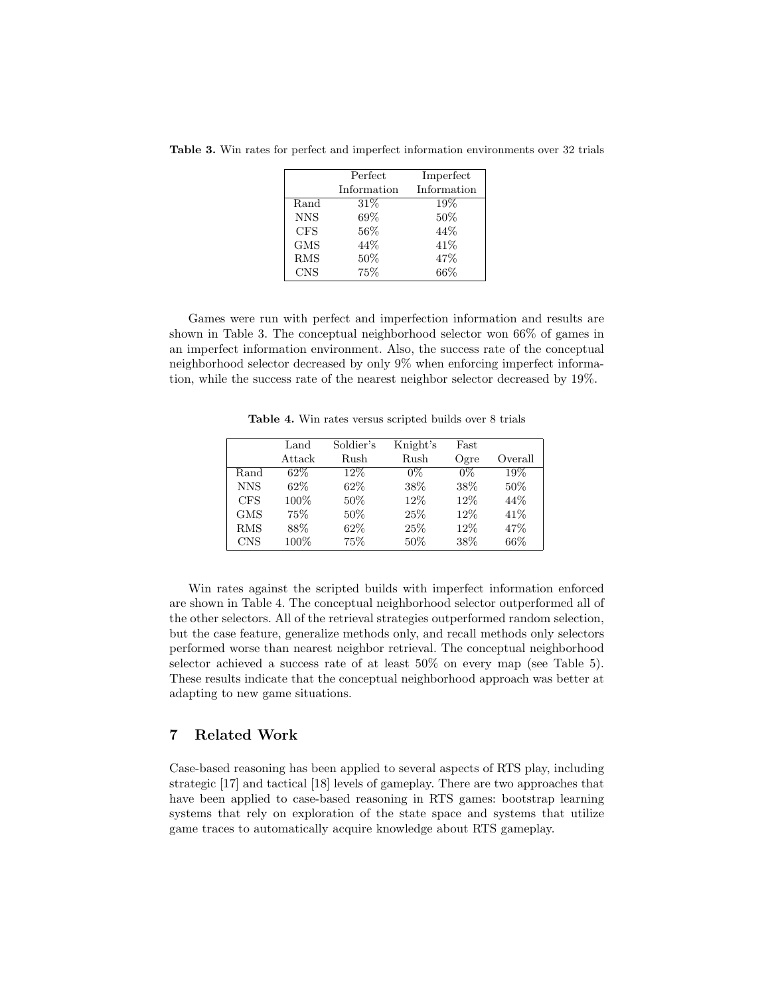|            | Perfect     | Imperfect   |
|------------|-------------|-------------|
|            | Information | Information |
| Rand       | 31%         | 19%         |
| <b>NNS</b> | 69%         | 50%         |
| <b>CFS</b> | 56%         | 44\%        |
| <b>GMS</b> | 44%         | 41\%        |
| <b>RMS</b> | 50%         | 47%         |
| <b>CNS</b> | 75%         | 66%         |

Table 3. Win rates for perfect and imperfect information environments over 32 trials

Games were run with perfect and imperfection information and results are shown in Table 3. The conceptual neighborhood selector won 66% of games in an imperfect information environment. Also, the success rate of the conceptual neighborhood selector decreased by only 9% when enforcing imperfect information, while the success rate of the nearest neighbor selector decreased by 19%.

Table 4. Win rates versus scripted builds over 8 trials

|            | $\rm Land$ | Soldier's | Knight's | Fast  |         |
|------------|------------|-----------|----------|-------|---------|
|            | Attack     | Rush      | Rush     | Ogre  | Overall |
| Rand       | 62\%       | 12%       | $0\%$    | $0\%$ | 19%     |
| <b>NNS</b> | 62\%       | $62\%$    | 38\%     | 38\%  | 50%     |
| <b>CFS</b> | 100%       | $50\%$    | 12\%     | 12%   | 44\%    |
| <b>GMS</b> | 75%        | 50%       | 25\%     | 12\%  | 41\%    |
| <b>RMS</b> | 88%        | $62\%$    | 25\%     | 12\%  | 47\%    |
| <b>CNS</b> | $100\%$    | 75%       | 50%      | 38%   | 66\%    |

Win rates against the scripted builds with imperfect information enforced are shown in Table 4. The conceptual neighborhood selector outperformed all of the other selectors. All of the retrieval strategies outperformed random selection, but the case feature, generalize methods only, and recall methods only selectors performed worse than nearest neighbor retrieval. The conceptual neighborhood selector achieved a success rate of at least 50% on every map (see Table 5). These results indicate that the conceptual neighborhood approach was better at adapting to new game situations.

# 7 Related Work

Case-based reasoning has been applied to several aspects of RTS play, including strategic [17] and tactical [18] levels of gameplay. There are two approaches that have been applied to case-based reasoning in RTS games: bootstrap learning systems that rely on exploration of the state space and systems that utilize game traces to automatically acquire knowledge about RTS gameplay.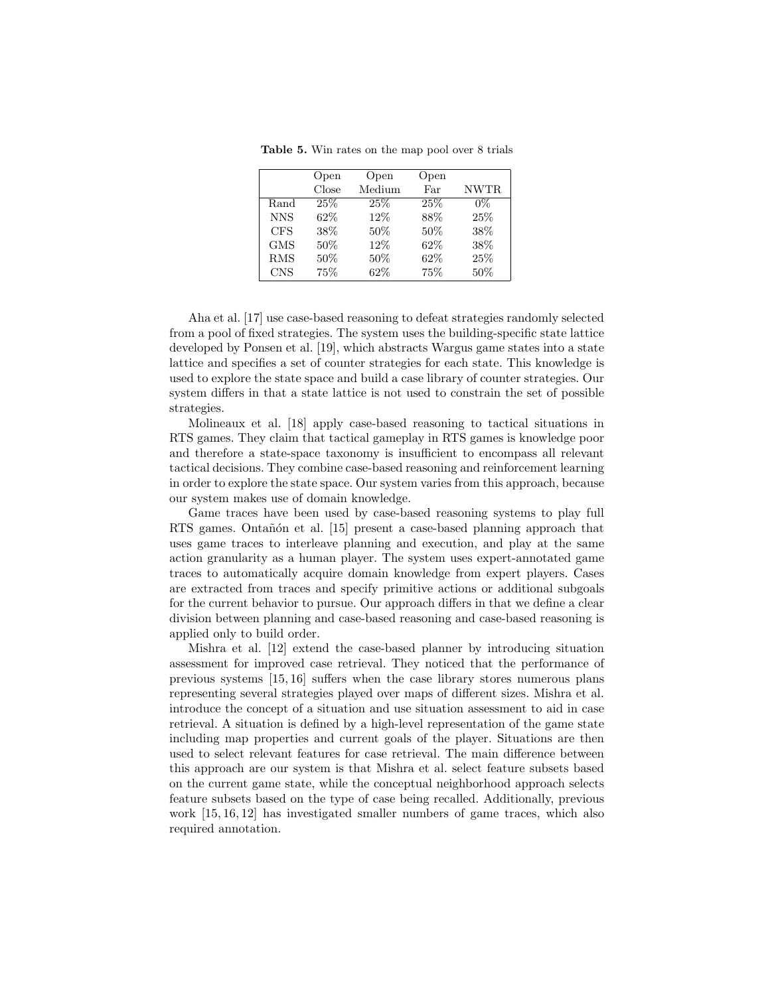Table 5. Win rates on the map pool over 8 trials

|            | Open  | Open   | Open |             |
|------------|-------|--------|------|-------------|
|            | Close | Medium | Far  | <b>NWTR</b> |
| Rand       | 25%   | 25%    | 25%  | $0\%$       |
| <b>NNS</b> | 62\%  | 12%    | 88%  | 25%         |
| <b>CFS</b> | 38%   | 50%    | 50%  | 38%         |
| <b>GMS</b> | 50%   | 12%    | 62\% | 38%         |
| <b>RMS</b> | 50%   | 50%    | 62\% | 25%         |
| <b>CNS</b> | 75%   | 62%    | 75%  | 50%         |

Aha et al. [17] use case-based reasoning to defeat strategies randomly selected from a pool of fixed strategies. The system uses the building-specific state lattice developed by Ponsen et al. [19], which abstracts Wargus game states into a state lattice and specifies a set of counter strategies for each state. This knowledge is used to explore the state space and build a case library of counter strategies. Our system differs in that a state lattice is not used to constrain the set of possible strategies.

Molineaux et al. [18] apply case-based reasoning to tactical situations in RTS games. They claim that tactical gameplay in RTS games is knowledge poor and therefore a state-space taxonomy is insufficient to encompass all relevant tactical decisions. They combine case-based reasoning and reinforcement learning in order to explore the state space. Our system varies from this approach, because our system makes use of domain knowledge.

Game traces have been used by case-based reasoning systems to play full RTS games. Ontañón et al. [15] present a case-based planning approach that uses game traces to interleave planning and execution, and play at the same action granularity as a human player. The system uses expert-annotated game traces to automatically acquire domain knowledge from expert players. Cases are extracted from traces and specify primitive actions or additional subgoals for the current behavior to pursue. Our approach differs in that we define a clear division between planning and case-based reasoning and case-based reasoning is applied only to build order.

Mishra et al. [12] extend the case-based planner by introducing situation assessment for improved case retrieval. They noticed that the performance of previous systems [15, 16] suffers when the case library stores numerous plans representing several strategies played over maps of different sizes. Mishra et al. introduce the concept of a situation and use situation assessment to aid in case retrieval. A situation is defined by a high-level representation of the game state including map properties and current goals of the player. Situations are then used to select relevant features for case retrieval. The main difference between this approach are our system is that Mishra et al. select feature subsets based on the current game state, while the conceptual neighborhood approach selects feature subsets based on the type of case being recalled. Additionally, previous work [15, 16, 12] has investigated smaller numbers of game traces, which also required annotation.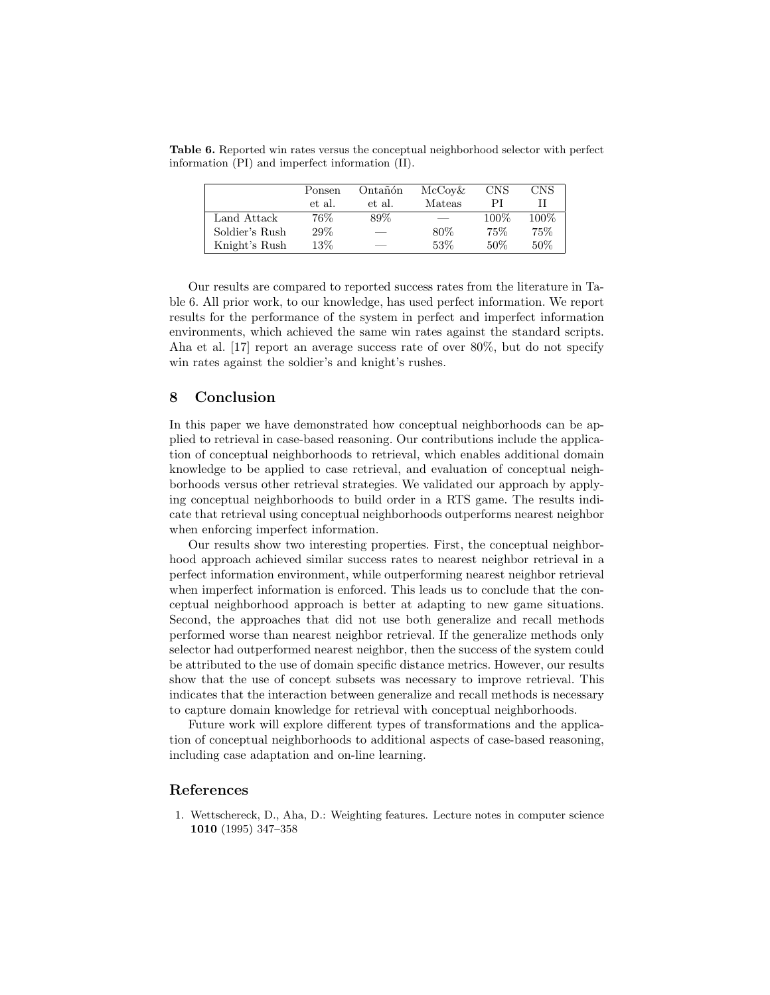Table 6. Reported win rates versus the conceptual neighborhood selector with perfect information (PI) and imperfect information (II).

|                | Ponsen | Ontañón | $McCov\&$ | <b>CNS</b> | CNS   |
|----------------|--------|---------|-----------|------------|-------|
|                | et al. | et al.  | Mateas    | ÞТ         |       |
| Land Attack    | 76\%   | 89%     |           | 100\%      | 100\% |
| Soldier's Rush | 29%    | __      | 80%       | 75%        | 75%   |
| Knight's Rush  | 13%    | __      | 53%       | 50%        | 50%   |

Our results are compared to reported success rates from the literature in Table 6. All prior work, to our knowledge, has used perfect information. We report results for the performance of the system in perfect and imperfect information environments, which achieved the same win rates against the standard scripts. Aha et al. [17] report an average success rate of over 80%, but do not specify win rates against the soldier's and knight's rushes.

# 8 Conclusion

In this paper we have demonstrated how conceptual neighborhoods can be applied to retrieval in case-based reasoning. Our contributions include the application of conceptual neighborhoods to retrieval, which enables additional domain knowledge to be applied to case retrieval, and evaluation of conceptual neighborhoods versus other retrieval strategies. We validated our approach by applying conceptual neighborhoods to build order in a RTS game. The results indicate that retrieval using conceptual neighborhoods outperforms nearest neighbor when enforcing imperfect information.

Our results show two interesting properties. First, the conceptual neighborhood approach achieved similar success rates to nearest neighbor retrieval in a perfect information environment, while outperforming nearest neighbor retrieval when imperfect information is enforced. This leads us to conclude that the conceptual neighborhood approach is better at adapting to new game situations. Second, the approaches that did not use both generalize and recall methods performed worse than nearest neighbor retrieval. If the generalize methods only selector had outperformed nearest neighbor, then the success of the system could be attributed to the use of domain specific distance metrics. However, our results show that the use of concept subsets was necessary to improve retrieval. This indicates that the interaction between generalize and recall methods is necessary to capture domain knowledge for retrieval with conceptual neighborhoods.

Future work will explore different types of transformations and the application of conceptual neighborhoods to additional aspects of case-based reasoning, including case adaptation and on-line learning.

### References

1. Wettschereck, D., Aha, D.: Weighting features. Lecture notes in computer science 1010 (1995) 347–358